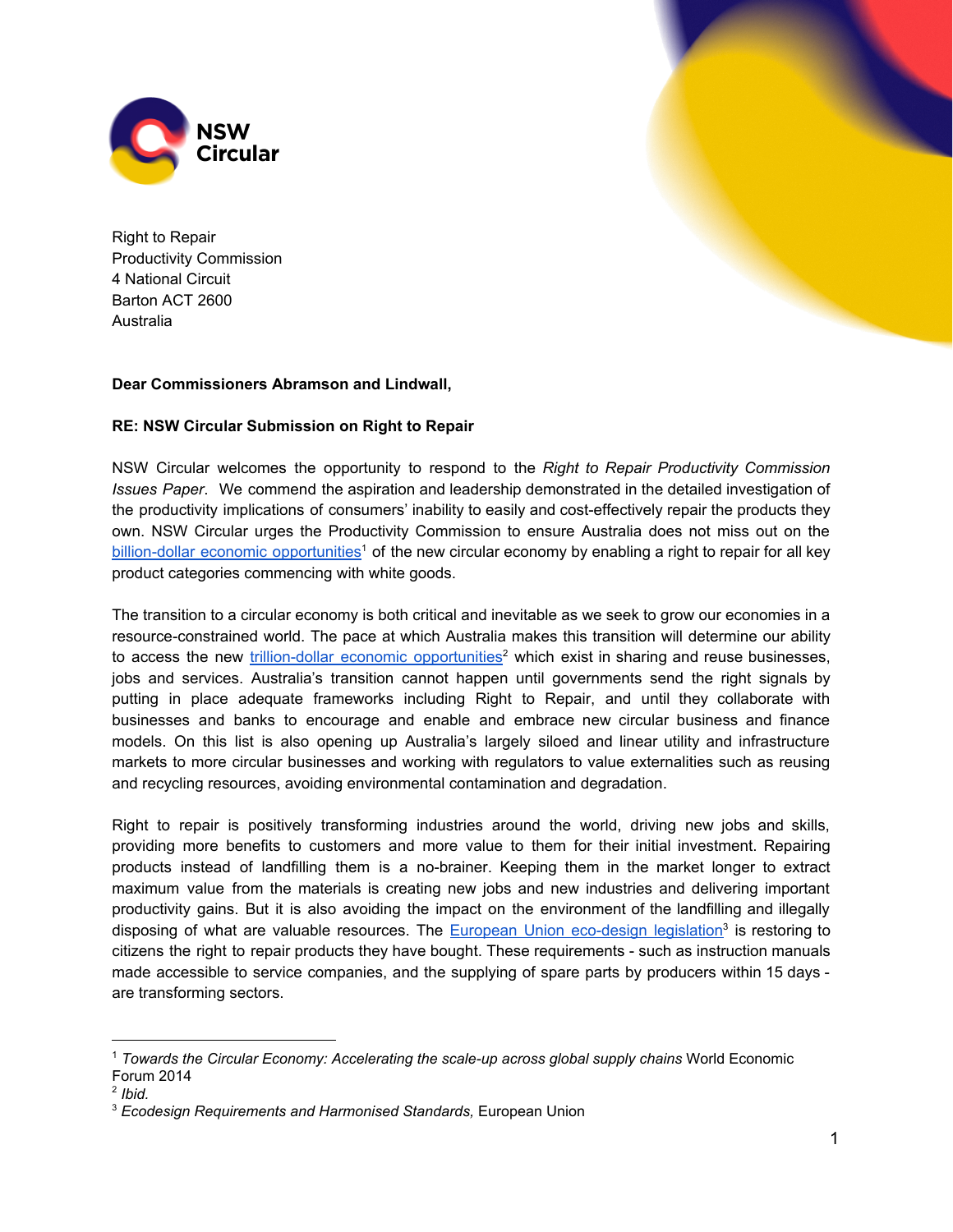

Right to Repair Productivity Commission 4 National Circuit Barton ACT 2600 Australia

## **Dear Commissioners Abramson and Lindwall,**

## **RE: NSW Circular Submission on Right to Repair**

NSW Circular welcomes the opportunity to respond to the *Right to Repair Productivity Commission Issues Paper*. We commend the aspiration and leadership demonstrated in the detailed investigation of the productivity implications of consumers' inability to easily and cost-effectively repair the products they own. NSW Circular urges the Productivity Commission to ensure Australia does not miss out on the billion-dollar economic [opportunities](https://reports.weforum.org/toward-the-circular-economy-accelerating-the-scale-up-across-global-supply-chains/an-economic-opportunity-worth-billions-charting-the-new-territory/)<sup>1</sup> of the new circular economy by enabling a right to repair for all key product categories commencing with white goods.

The transition to a circular economy is both critical and inevitable as we seek to grow our economies in a resource-constrained world. The pace at which Australia makes this transition will determine our ability to access the new *trillion-dollar economic [opportunities](https://reports.weforum.org/toward-the-circular-economy-accelerating-the-scale-up-across-global-supply-chains/an-economic-opportunity-worth-billions-charting-the-new-territory/)*<sup>2</sup> which exist in sharing and reuse businesses, jobs and services. Australia's transition cannot happen until governments send the right signals by putting in place adequate frameworks including Right to Repair, and until they collaborate with businesses and banks to encourage and enable and embrace new circular business and finance models. On this list is also opening up Australia's largely siloed and linear utility and infrastructure markets to more circular businesses and working with regulators to value externalities such as reusing and recycling resources, avoiding environmental contamination and degradation.

Right to repair is positively transforming industries around the world, driving new jobs and skills, providing more benefits to customers and more value to them for their initial investment. Repairing products instead of landfilling them is a no-brainer. Keeping them in the market longer to extract maximum value from the materials is creating new jobs and new industries and delivering important productivity gains. But it is also avoiding the impact on the environment of the landfilling and illegally disposing of what are valuable resources. The European Union [eco-design](https://europa.eu/youreurope/business/product-requirements/compliance/ecodesign/index_en.htm) legislation<sup>3</sup> is restoring to citizens the right to repair products they have bought. These requirements - such as instruction manuals made accessible to service companies, and the supplying of spare parts by producers within 15 days are transforming sectors.

<sup>1</sup> *Towards the Circular Economy: Accelerating the scale-up across global supply chains* World Economic Forum 2014

<sup>2</sup> *Ibid.*

<sup>3</sup> *Ecodesign Requirements and Harmonised Standards,* European Union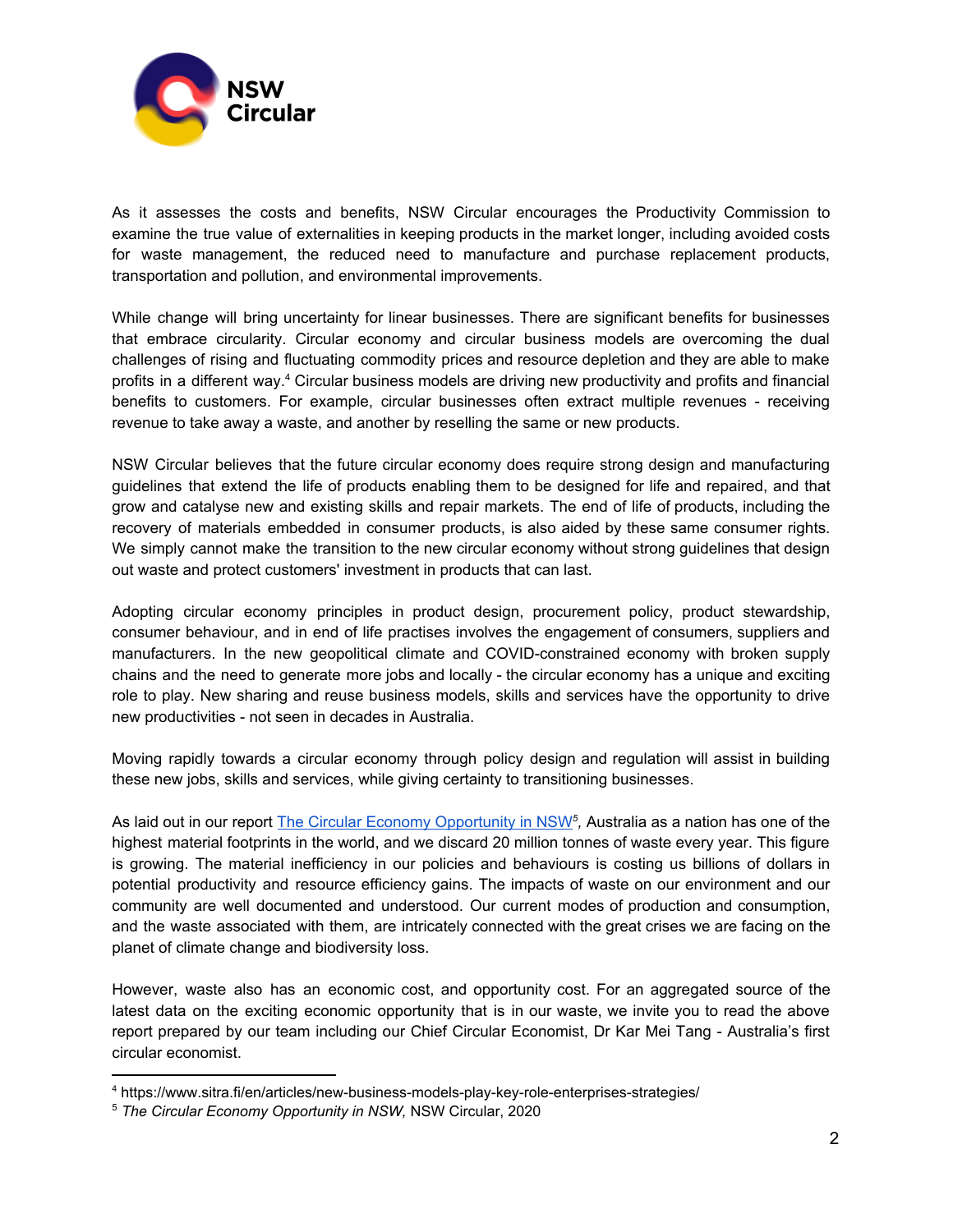

As it assesses the costs and benefits, NSW Circular encourages the Productivity Commission to examine the true value of externalities in keeping products in the market longer, including avoided costs for waste management, the reduced need to manufacture and purchase replacement products, transportation and pollution, and environmental improvements.

While change will bring uncertainty for linear businesses. There are significant benefits for businesses that embrace circularity. Circular economy and circular business models are overcoming the dual challenges of rising and fluctuating commodity prices and resource depletion and they are able to make profits in a different way.<sup>4</sup> Circular business models are driving new productivity and profits and financial benefits to customers. For example, circular businesses often extract multiple revenues - receiving revenue to take away a waste, and another by reselling the same or new products.

NSW Circular believes that the future circular economy does require strong design and manufacturing guidelines that extend the life of products enabling them to be designed for life and repaired, and that grow and catalyse new and existing skills and repair markets. The end of life of products, including the recovery of materials embedded in consumer products, is also aided by these same consumer rights. We simply cannot make the transition to the new circular economy without strong guidelines that design out waste and protect customers' investment in products that can last.

Adopting circular economy principles in product design, procurement policy, product stewardship, consumer behaviour, and in end of life practises involves the engagement of consumers, suppliers and manufacturers. In the new geopolitical climate and COVID-constrained economy with broken supply chains and the need to generate more jobs and locally - the circular economy has a unique and exciting role to play. New sharing and reuse business models, skills and services have the opportunity to drive new productivities - not seen in decades in Australia.

Moving rapidly towards a circular economy through policy design and regulation will assist in building these new jobs, skills and services, while giving certainty to transitioning businesses.

As laid out in our report <u>The Circular Economy [Opportunity](https://www.nswcircular.org/wp-content/uploads/2020/11/the-circular-economy-opportunity-in-NSW.pdf) in NSW</u><sup>5</sup>, Australia as a nation has one of the highest material footprints in the world, and we discard 20 million tonnes of waste every year. This figure is growing. The material inefficiency in our policies and behaviours is costing us billions of dollars in potential productivity and resource efficiency gains. The impacts of waste on our environment and our community are well documented and understood. Our current modes of production and consumption, and the waste associated with them, are intricately connected with the great crises we are facing on the planet of climate change and biodiversity loss.

However, waste also has an economic cost, and opportunity cost. For an aggregated source of the latest data on the exciting economic opportunity that is in our waste, we invite you to read the above report prepared by our team including our Chief Circular Economist, Dr Kar Mei Tang - Australia's first circular economist.

<sup>4</sup> https://www.sitra.fi/en/articles/new-business-models-play-key-role-enterprises-strategies/

<sup>5</sup> *The Circular Economy Opportunity in NSW,* NSW Circular, 2020